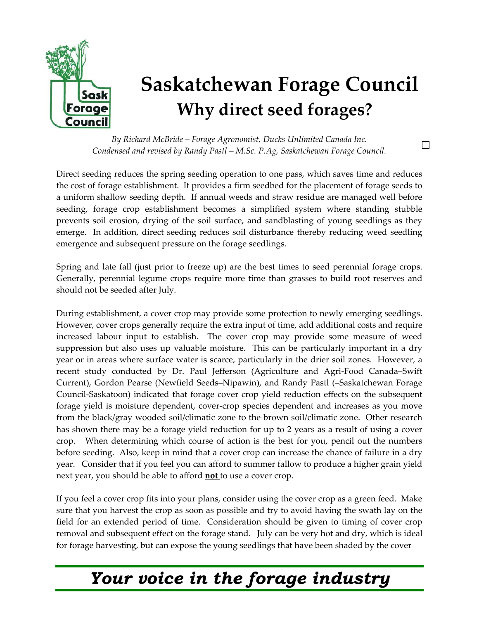

## **Saskatchewan Forage Council Why direct seed forages?**

 $\Box$ 

*By Richard McBride – Forage Agronomist, Ducks Unlimited Canada Inc. Condensed and revised by Randy Pastl – M.Sc. P.Ag, Saskatchewan Forage Council.* 

Direct seeding reduces the spring seeding operation to one pass, which saves time and reduces the cost of forage establishment. It provides a firm seedbed for the placement of forage seeds to a uniform shallow seeding depth. If annual weeds and straw residue are managed well before seeding, forage crop establishment becomes a simplified system where standing stubble prevents soil erosion, drying of the soil surface, and sandblasting of young seedlings as they emerge. In addition, direct seeding reduces soil disturbance thereby reducing weed seedling emergence and subsequent pressure on the forage seedlings.

Spring and late fall (just prior to freeze up) are the best times to seed perennial forage crops. Generally, perennial legume crops require more time than grasses to build root reserves and should not be seeded after July.

During establishment, a cover crop may provide some protection to newly emerging seedlings. However, cover crops generally require the extra input of time, add additional costs and require increased labour input to establish. The cover crop may provide some measure of weed suppression but also uses up valuable moisture. This can be particularly important in a dry year or in areas where surface water is scarce, particularly in the drier soil zones. However, a recent study conducted by Dr. Paul Jefferson (Agriculture and Agri-Food Canada–Swift Current), Gordon Pearse (Newfield Seeds–Nipawin), and Randy Pastl (–Saskatchewan Forage Council-Saskatoon) indicated that forage cover crop yield reduction effects on the subsequent forage yield is moisture dependent, cover-crop species dependent and increases as you move from the black/gray wooded soil/climatic zone to the brown soil/climatic zone. Other research has shown there may be a forage yield reduction for up to 2 years as a result of using a cover crop. When determining which course of action is the best for you, pencil out the numbers before seeding. Also, keep in mind that a cover crop can increase the chance of failure in a dry year. Consider that if you feel you can afford to summer fallow to produce a higher grain yield next year, you should be able to afford **not** to use a cover crop.

If you feel a cover crop fits into your plans, consider using the cover crop as a green feed. Make sure that you harvest the crop as soon as possible and try to avoid having the swath lay on the field for an extended period of time. Consideration should be given to timing of cover crop removal and subsequent effect on the forage stand. July can be very hot and dry, which is ideal for forage harvesting, but can expose the young seedlings that have been shaded by the cover

## *Your voice in the forage industry*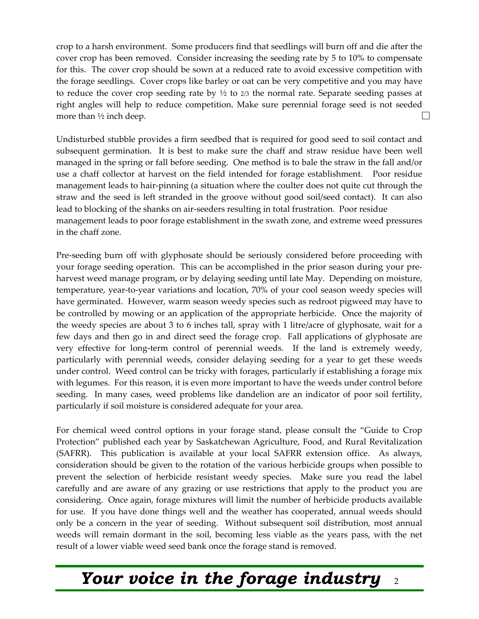crop to a harsh environment. Some producers find that seedlings will burn off and die after the cover crop has been removed. Consider increasing the seeding rate by 5 to 10% to compensate for this. The cover crop should be sown at a reduced rate to avoid excessive competition with the forage seedlings. Cover crops like barley or oat can be very competitive and you may have to reduce the cover crop seeding rate by  $\frac{1}{2}$  to  $\frac{2}{3}$  the normal rate. Separate seeding passes at right angles will help to reduce competition. Make sure perennial forage seed is not seeded  $\Box$ more than ½ inch deep.

Undisturbed stubble provides a firm seedbed that is required for good seed to soil contact and subsequent germination. It is best to make sure the chaff and straw residue have been well managed in the spring or fall before seeding. One method is to bale the straw in the fall and/or use a chaff collector at harvest on the field intended for forage establishment. Poor residue management leads to hair-pinning (a situation where the coulter does not quite cut through the straw and the seed is left stranded in the groove without good soil/seed contact). It can also lead to blocking of the shanks on air-seeders resulting in total frustration. Poor residue management leads to poor forage establishment in the swath zone, and extreme weed pressures in the chaff zone.

Pre-seeding burn off with glyphosate should be seriously considered before proceeding with your forage seeding operation. This can be accomplished in the prior season during your preharvest weed manage program, or by delaying seeding until late May. Depending on moisture, temperature, year-to-year variations and location, 70% of your cool season weedy species will have germinated. However, warm season weedy species such as redroot pigweed may have to be controlled by mowing or an application of the appropriate herbicide. Once the majority of the weedy species are about 3 to 6 inches tall, spray with 1 litre/acre of glyphosate, wait for a few days and then go in and direct seed the forage crop. Fall applications of glyphosate are very effective for long-term control of perennial weeds. If the land is extremely weedy, particularly with perennial weeds, consider delaying seeding for a year to get these weeds under control. Weed control can be tricky with forages, particularly if establishing a forage mix with legumes. For this reason, it is even more important to have the weeds under control before seeding. In many cases, weed problems like dandelion are an indicator of poor soil fertility, particularly if soil moisture is considered adequate for your area.

For chemical weed control options in your forage stand, please consult the "Guide to Crop Protection" published each year by Saskatchewan Agriculture, Food, and Rural Revitalization (SAFRR). This publication is available at your local SAFRR extension office. As always, consideration should be given to the rotation of the various herbicide groups when possible to prevent the selection of herbicide resistant weedy species. Make sure you read the label carefully and are aware of any grazing or use restrictions that apply to the product you are considering. Once again, forage mixtures will limit the number of herbicide products available for use. If you have done things well and the weather has cooperated, annual weeds should only be a concern in the year of seeding. Without subsequent soil distribution, most annual weeds will remain dormant in the soil, becoming less viable as the years pass, with the net result of a lower viable weed seed bank once the forage stand is removed.

## *Your voice in the forage industry* <sup>2</sup>